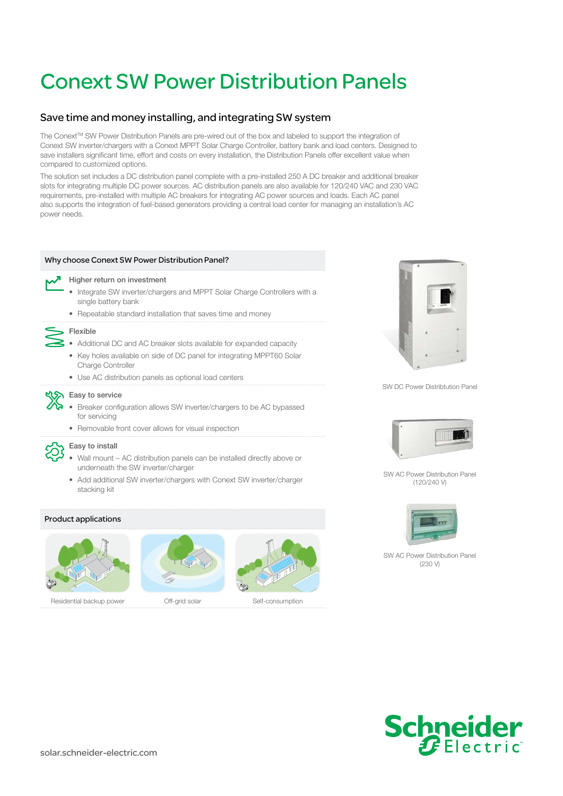# Conext SW Power Distribution Panels

# Save time and money installing, and integrating SW system

The Conext™ SW Power Distribution Panels are pre-wired out of the box and labeled to support the integration of Conext SW inverter/chargers with a Conext MPPT Solar Charge Controller, battery bank and load centers. Designed to save installers significant time, effort and costs on every installation, the Distribution Panels offer excellent value when compared to customized options.

The solution set includes a DC distribution panel complete with a pre-installed 250 A DC breaker and additional breaker slots for integrating multiple DC power sources. AC distribution panels are also available for 120/240 VAC and 230 VAC requirements, pre-installed with multiple AC breakers for integrating AC power sources and loads. Each AC panel also supports the integration of fuel-based generators providing a central load center for managing an installation's AC power needs.

## Why choose Conext SW Power Distribution Panel?



#### Higher return on investment

- Integrate SW inverter/chargers and MPPT Solar Charge Controllers with a single battery bank
- Repeatable standard installation that saves time and money



- Additional DC and AC breaker slots available for expanded capacity
- Key holes available on side of DC panel for integrating MPPT60 Solar Charge Controller
- Use AC distribution panels as optional load centers

## **KISH** Easy to service

- Breaker configuration allows SW inverter/chargers to be AC bypassed for servicing
- Removable front cover allows for visual inspection

#### Easy to install

- Wall mount AC distribution panels can be installed directly above or underneath the SW inverter/charger
- Add additional SW inverter/chargers with Conext SW inverter/charger stacking kit

#### Product applications





Residential backup power **Off-grid solar** Self-consumption



SW DC Power Distribtution Panel



SW AC Power Distribution Panel (120/240 V)



SW AC Power Distribution Panel (230 V)